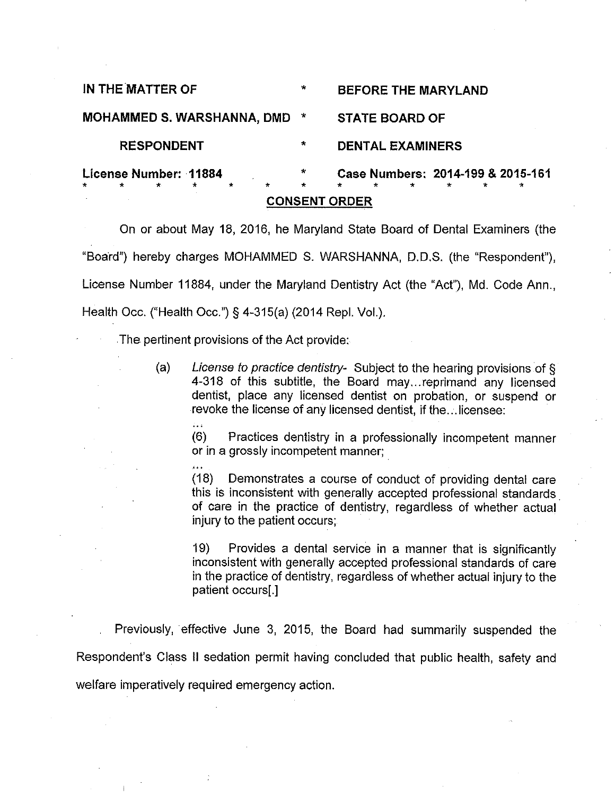| <b>CONSENT ORDER</b>                                                           |              |                                                                                   |
|--------------------------------------------------------------------------------|--------------|-----------------------------------------------------------------------------------|
| License Number: 11884<br>$\star$<br>$\star$<br>$\star$<br>$\star$<br>$\star$ . | ÷<br>$\star$ | Case Numbers: 2014-199 & 2015-161<br>$\star$<br>$\star$<br>∗<br>$\star$<br>÷<br>₩ |
| <b>RESPONDENT</b>                                                              | $\star$      | <b>DENTAL EXAMINERS</b>                                                           |
| MOHAMMED S. WARSHANNA, DMD *                                                   |              | <b>STATE BOARD OF</b>                                                             |
| IN THE MATTER OF                                                               | ₩            | <b>BEFORE THE MARYLAND</b>                                                        |

On or about May 18, 2016, he Maryland State Board of Dental Examiners (the "Board") hereby charges MOHAMMED S, WARSHANNA, D.D.S. (the "Respondent"), License Number 11884, under the Maryland Dentistry Act (the "Act"), Md. Code Ann., Health Occ. ("Health Occ.") § 4-315(a) (2014 Repl. Vol.).

The pertinent provisions of the Act provide:

i.

لأنافر

(a) License to practice dentistry- Subject to the hearing provisions of § 4-318 of this subtitle, the Board may...reprimand any licensed dentist, place any licensed dentist on probation, or suspend or revoke the license of any licensed dentist, if the...licensee:

(6) Practices dentistry in a professionally incompetent manner or in a grossly incompetent manner;

(18) Demonstrates a course of conduct of providing dental care this is inconsistent with generally accepted professional standards of care in the practice of dentistry, regardless of whether actual injury to the patient occurs;

19) Provides a dental service in a manner that is significantly inconsistent with generally accepted professional standards of care in the practice of dentistry, regardless of whether actual injury to the patient occurs[.]

Previously, effective June 3, 2015, the Board had summarily suspended the Respondent's Class II sedation permit having concluded that public health, safety and welfare imperatively required emergency action.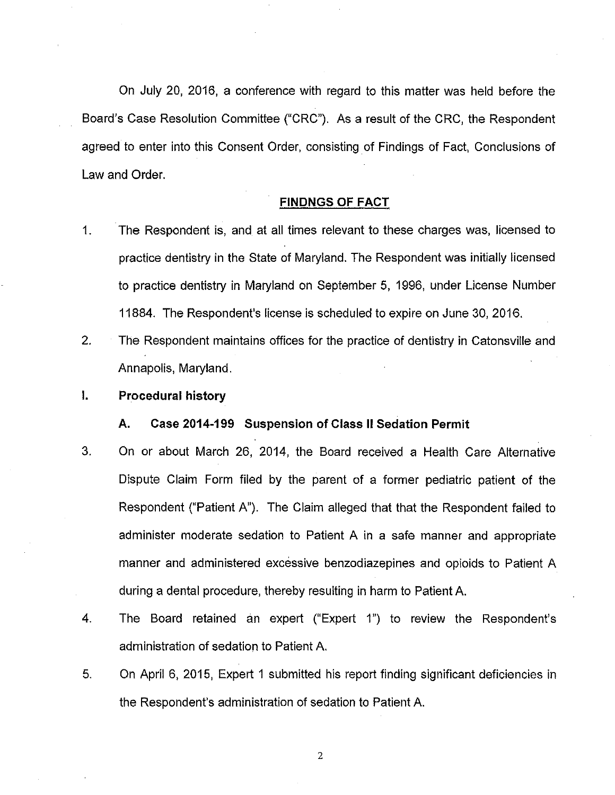On July 20, 2016, a conference with regard to this matter was held before the Board's Case Resolution Committee ("CRC"). As a result of the CRC, the Respondent agreed to enter into this Consent Order, consisting of Findings of Fact, Conclusions of Law and Order.

## FiNDNGS OF FACT

- 1. The Respondent is, and at all times relevant to these charges was, licensed to practice dentistry in the State of Maryland. The Respondent was initially licensed to practice dentistry in Maryland on September 5, 1996, under License Number 11884. The Respondent's license is scheduled to expire on June 30, 2016.
- 2. The Respondent maintains offices for the practice of dentistry in Catonsville and Annapolis, Maryland.
- I. Procedural history

### A. Case 2014-199 Suspension of Class II Sedation Permit

- 3. On or about March 26, 2014, the Board received a Health Care Alternative Dispute Claim Form filed by the parent of a former pediatric patient of the Respondent ("Patient A"). The Claim alleged that that the Respondent failed to administer moderate sedation to Patient A in a safe manner and appropriate manner and administered excessive benzodiazepines and opioids to Patient A during a dental procedure, thereby resulting in harm to Patient A.
- 4. The Board retained an expert ("Expert 1") to review the Respondent's administration of sedation to Patient A.
- 5. On April 6, 2015, Expert 1 submitted his report finding significant deficiencies in the Respondent's administration of sedation to Patient A.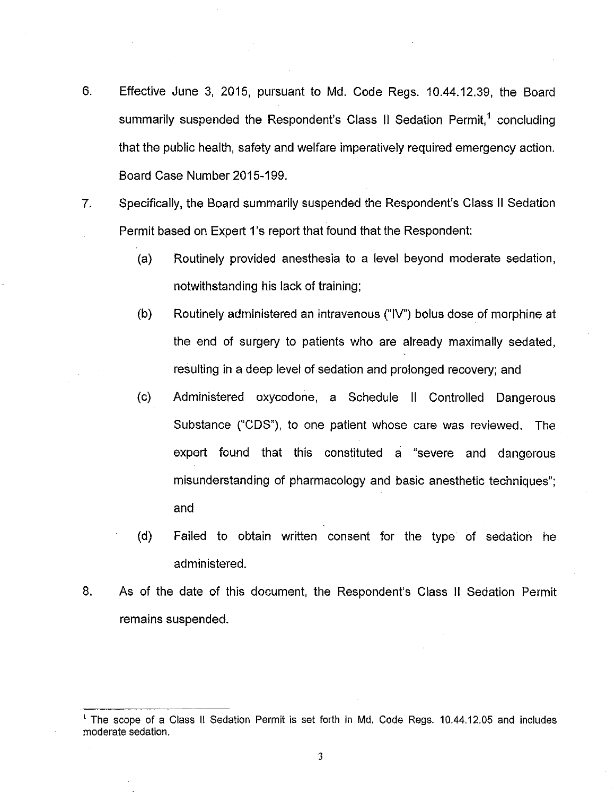- 6. Effective June 3, 2015, pursuant to Md. Code Regs. 10.44.12.39, the Board summarily suspended the Respondent's Class II Sedation Permit,<sup>1</sup> concluding that the public health, safety and welfare imperatively required emergency action. Board Case Number 2015-199.
- 7. Specifically, the Board summarily suspended the Respondent's Class II Sedation Permit based on Expert 1's report that found that the Respondent
	- (a) Routinely provided anesthesia to a level beyond moderate sedation, notwithstanding his lack of training;
	- (b) Routinely administered an intravenous ("IV") bolus dose of morphine at the end of surgery to patients who are already maximally sedated, resulting in a deep level of sedation and prolonged recovery; and
	- (c) Administered oxycodone, a Schedule II Controlled Dangerous Substance ("CDS"), to one patient whose care was reviewed. The expert found that this constituted a "severe and dangerous misunderstanding of pharmacology and basic anesthetic techniques"; and
	- (d) Failed to obtain written consent for the type of sedation he administered.
- 8. As of the date of this document, the Respondent's Class II Sedation Permit remains suspended.

<sup>1</sup> The scope of a Class II Sedation Permit is set forth in Md. Code Regs. 10.44.12.05 and includes moderate sedation.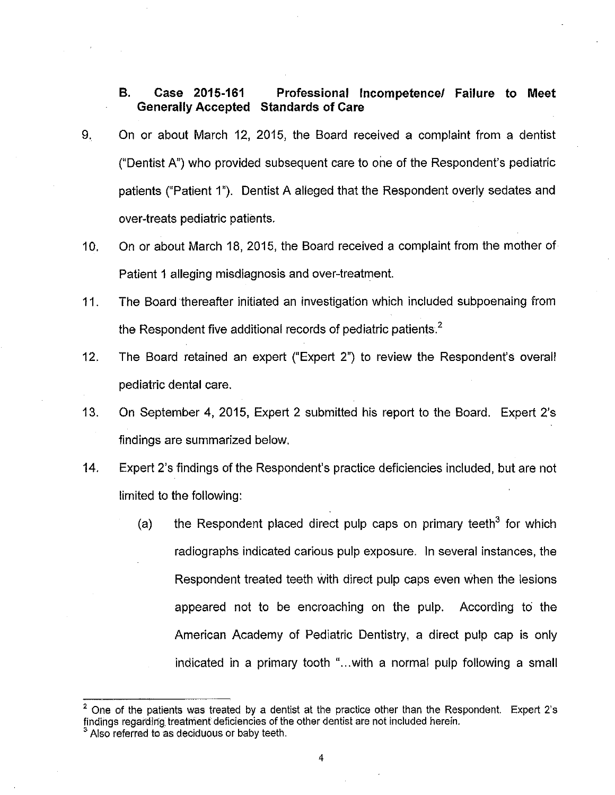## B. Case 2015-161 Professional Incompetence/ Failure to Meet Generally Accepted Standards of Care

- 9. On or about March 12, 2015, the Board received a complaint from a dentist ("Dentist A") who provided subsequent care to one of the Respondent's pediatric patients ("Patient 1"). Dentist A alleged that the Respondent overly sedates and over-treats pediatric patients.
- 10. On or about March 18, 2015, the Board received a complaint from the mother of Patient 1alleging misdiagnosis and over-treatment.
- 11. The Board thereafter initiated an investigation which included subpoenaing from the Respondent five additional records of pediatric patients. $2$
- 12. The Board retained an expert ("Expert 2") to review the Respondent's overall pediatric dental care.
- 13. On September 4, 2015, Expert 2 submitted his report to the Board. Expert 2's findings are summarized below.
- 14. Expert 2's findings of the Respondent's practice deficiencies included, but are not limited to the following:
	- (a) the Respondent placed direct pulp caps on primary teeth<sup>3</sup> for which radiographs indicated carious pulp exposure. In several instances, the Respondent treated teeth with direct pulp caps even when the lesions appeared not to be encroaching on the pulp. According to the American Academy of Pediatric Dentistry, a direct pulp cap is only indicated in a primary tooth "...with a normal pulp following a small

<sup>2</sup> One of the patients was treated by a dentist at the practice other than the Respondent. Expert 2's findings regarding treatment deficiencies of the other dentist are not included herein.

<sup>&</sup>lt;sup>3</sup> Also referred to as deciduous or baby teeth.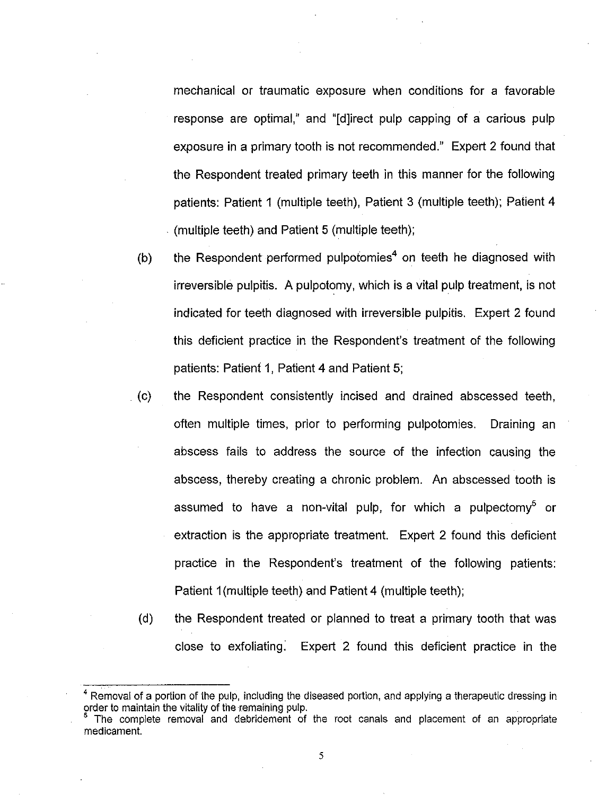mechanical or traumatic exposure when conditions for a favorable response are optima!/' and "[d]irect pulp capping of a carious pulp exposure in a primary tooth is not recommended." Expert 2 found that the Respondent treated primary teeth in this manner for the following patients: Patient 1 (multiple teeth), Patient 3 (multiple teeth); Patient 4 (multiple teeth) and Patient 5 (multiple teeth);

- (b) the Respondent performed pulpotomies<sup>4</sup> on teeth he diagnosed with irreversible pulpitis. A pulpotomy, which is a vital pulp treatment, is not indicated for teeth diagnosed with irreversible pulpitis. Expert 2 found this deficient practice in the Respondent's treatment of the following patients: Patient 1, Patient 4 and Patient 5;
- . (c) the Respondent consistently incised and drained abscessed teeth, often multiple times, prior to performing pulpotomies. Draining an abscess fails to address the source of the infection causing the abscess, thereby creating a chronic problem. An abscessed tooth is assumed to have a non-vital pulp, for which a pulpectomy<sup>5</sup> or extraction is the appropriate treatment. Expert 2 found this deficient practice in the Respondent's treatment of the following patients: Patient 1(multiple teeth) and Patient 4 (multiple teeth);
	- (d) the Respondent treated or planned to treat a primary tooth that was close to exfoliating. Expert 2 found this deficient practice in the

 $<sup>4</sup>$  Removal of a portion of the pulp, including the diseased portion, and applying a therapeutic dressing in</sup> order to maintain the vitality of the remaining pulp.

<sup>5</sup> The complete removal and debridement of the root canals and placement of an appropriate medicament.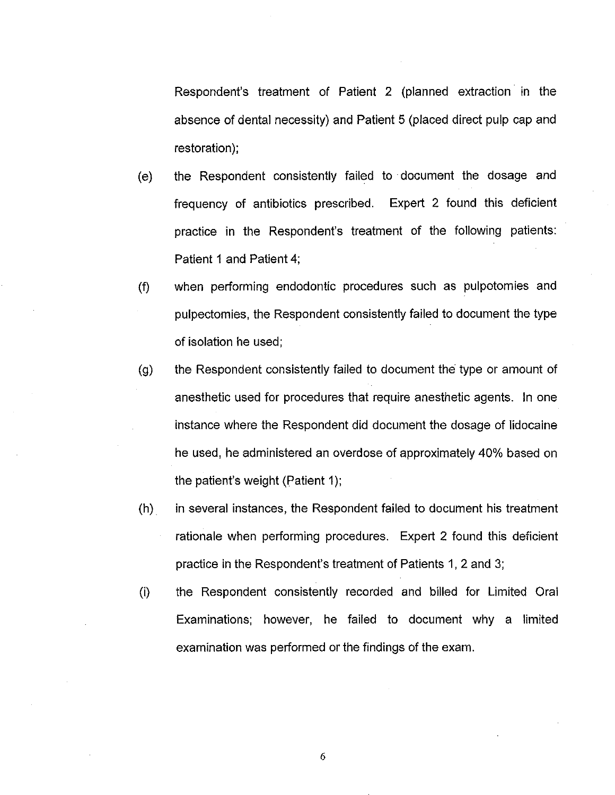Respondent's treatment of Patient 2 (planned extraction in the absence of dental necessity) and Patient 5 (placed direct pulp cap and restoration);

- (e) the Respondent consistently failed to document the dosage and frequency of antibiotics prescribed. Expert 2 found this deficient practice in the Respondent's treatment of the following patients: Patient 1 and Patient 4;
- (f) when performing endodontic procedures such as pulpotomies and pulpectomies, the Respondent consistently failed to document the type of isolation he used;
- (g) the Respondent consistently failed to document the type or amount of anesthetic used for procedures that require anesthetic agents. In one instance where the Respondent did document the dosage of lidocaine he used, he administered an overdose of approximately 40% based on the patient's weight (Patient 1);
- (h) in several instances, the Respondent failed to document his treatment rationale when performing procedures. Expert 2 found this deficient practice in the Respondent's treatment of Patients 1, 2 and 3;
- (i) the Respondent consistently recorded and billed for Limited Oral Examinations; however, he failed to document why a limited examination was performed or the findings of the exam.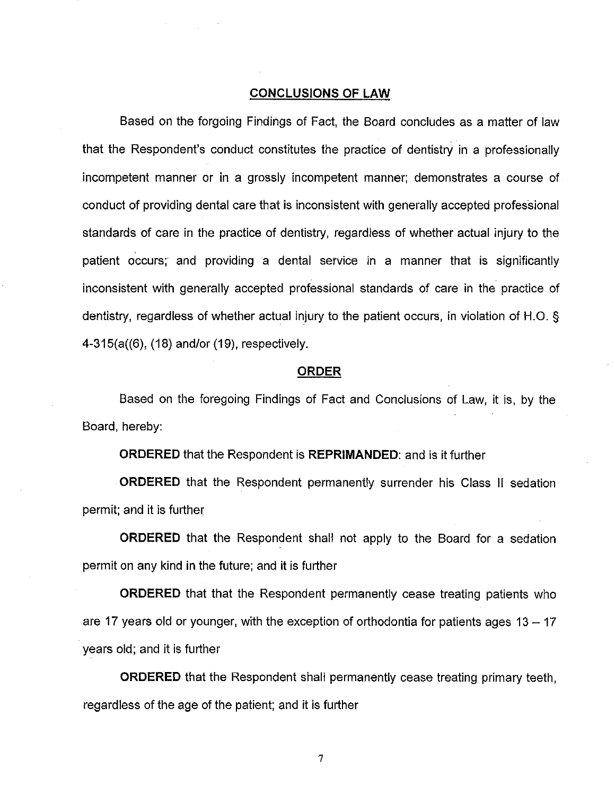## CONCLUSIONS OF LAW

Based on the forgoing Findings of Fact, the Board concludes as a matter of law that the Respondent's conduct constitutes the practice of dentistry in a professionally incompetent manner or in a grossly incompetent manner; demonstrates a course of conduct of providing dental care that is inconsistent with generally accepted professional standards of care in the practice of dentistry, regardless of whether actual injury to the patient occurs; and providing a dental service in a manner that is significantly inconsistent with generally accepted professional standards of care in the practice of dentistry, regardless of whether actual injury to the patient occurs, in violation of H.O. § 4-315(a((6), (18) and/or (19), respectively,

#### ORDER

Based on the foregoing Findings of Fact and Conclusions of Law, it is, by the Board, hereby:

ORDERED that the Respondent is REPRIMANDED: and is it further

ORDERED that the Respondent permanently surrender his Class II sedation permit; and it is further

ORDERED that the Respondent shall not apply to the Board for a sedation permit on any kind in the future; and it is further

ORDERED that that the Respondent permanently cease treating patients who are 17 years old or younger, with the exception of orthodontia for patients ages  $13 - 17$ years old; and it is further

ORDERED that the Respondent shall permanently cease treating primary teeth, regardless of the age of the patient; and it is further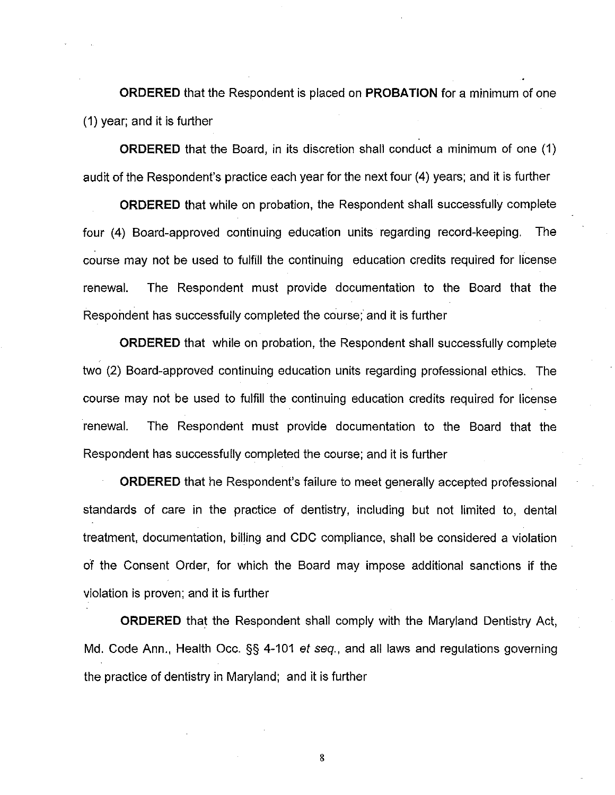ORDERED that the Respondent is placed on PROBATION for a minimum of one (1) year; and it is further

ORDERED that the Board, in its discretion shall conduct a minimum of one (1) audit of the Respondent's practice each year for the next four (4) years; and it is further

ORDERED that while on probation, the Respondent shall successfully complete four (4) Board-approved continuing education units regarding record-keeping. The course may not be used to fulfill the continuing education credits required for license renewal. The Respondent must provide documentation to the Board that the Respondent has successfully completed the course; and it is further

ORDERED that while on probation, the Respondent shall successfully complete two (2) Board-approved continuing education units regarding professional ethics. The course may not be used to fulfill the continuing education credits required for license renewal. The Respondent must provide documentation to the Board that the Respondent has successfully completed the course; and it is further

ORDERED that he Respondent's failure to meet generally accepted professional standards of care in the practice of dentistry, including but not limited to, dental treatment, documentation, billing and CDC compliance, shall be considered a violation of the Consent Order, for which the Board may impose additional sanctions if the violation is proven; and it is further

ORDERED that the Respondent shall comply with the Maryland Dentistry Act, Md. Code Ann., Health Occ. §§ 4-101 et seq., and all laws and regulations governing the practice of dentistry in Maryland; and it is further

B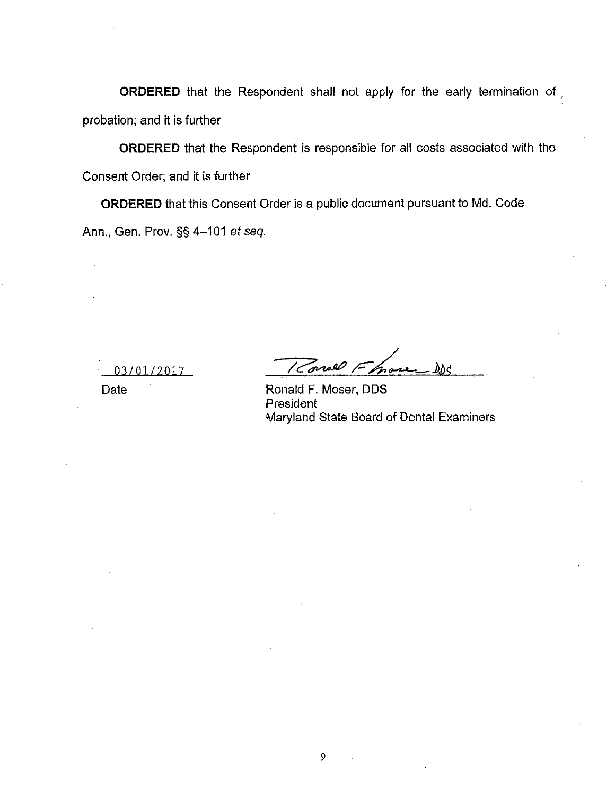ORDERED that the Respondent shall not apply for the early termination of ; probation; and it is further

ORDERED that the Respondent is responsible for all costs associated with the Consent Order; and it is further

ORDERED that this Consent Order is a public document pursuant to Md. Code Ann., Gen. Prov. §§ 4-101 et seq.

03/01/2017

Konall F.  $\delta$ *Mc* nose

Date Ronald F. Moser, DDS President Maryland State Board of Dental Examiners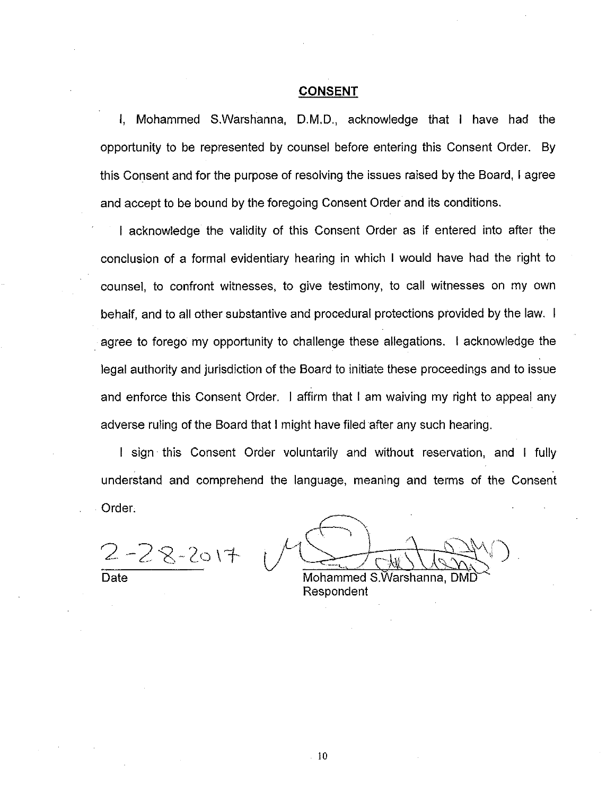### **CONSENT**

i, Mohammed S.Warshanna, D.M.D., acknowledge that I have had the opportunity to be represented by counsel before entering this Consent Order. By this Consent and for the purpose of resolving the issues raised by the Board, Iagree and accept to be bound by the foregoing Consent Order and its conditions.

I acknowledge the validity of this Consent Order as if entered into after the conclusion of <sup>a</sup> formal evidentiary hearing in which I would have had the right to counsel, to confront witnesses, to give testimony, to call witnesses on my own behalf, and to all other substantive and procedural protections provided by the law. I agree to forego my opportunity to challenge these allegations. ! acknowledge the legal authority and jurisdiction of the Board to initiate these proceedings and to issue and enforce this Consent Order. I affirm that I am waiving my right to appeal any adverse ruling of the Board that <sup>1</sup> might have filed after any such hearing.

I sign this Consent Order voluntarily and without reservation, and I fully understand and comprehend the language, meaning and terms of the Consent Order.

 $2 - 28 - 2017$ 

**Date** 

Mohammed S.Warshanna, DMD Respondent